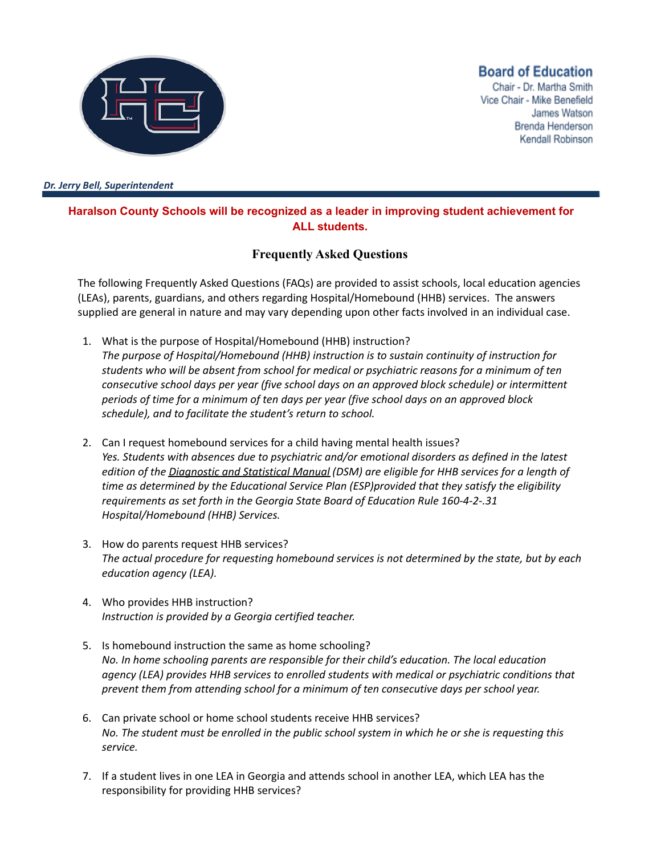

## **Board of Education**

Chair - Dr. Martha Smith Vice Chair - Mike Benefield James Watson Brenda Henderson Kendall Robinson

*Dr. Jerry Bell, Superintendent*

## **Haralson County Schools will be recognized as a leader in improving student achievement for ALL students.**

## **Frequently Asked Questions**

The following Frequently Asked Questions (FAQs) are provided to assist schools, local education agencies (LEAs), parents, guardians, and others regarding Hospital/Homebound (HHB) services. The answers supplied are general in nature and may vary depending upon other facts involved in an individual case.

- 1. What is the purpose of Hospital/Homebound (HHB) instruction? *The purpose of Hospital/Homebound (HHB) instruction is to sustain continuity of instruction for students who will be absent from school for medical or psychiatric reasons for a minimum of ten consecutive school days per year (five school days on an approved block schedule) or intermittent periods of time for a minimum of ten days per year (five school days on an approved block schedule), and to facilitate the student's return to school.*
- 2. Can I request homebound services for a child having mental health issues? *Yes. Students with absences due to psychiatric and/or emotional disorders as defined in the latest edition of the Diagnostic and Statistical Manual (DSM) are eligible for HHB services for a length of time as determined by the Educational Service Plan (ESP)provided that they satisfy the eligibility requirements as set forth in the Georgia State Board of Education Rule 160-4-2-.31 Hospital/Homebound (HHB) Services.*
- 3. How do parents request HHB services? *The actual procedure for requesting homebound services is not determined by the state, but by each education agency (LEA).*
- 4. Who provides HHB instruction? *Instruction is provided by a Georgia certified teacher.*
- 5. Is homebound instruction the same as home schooling? *No. In home schooling parents are responsible for their child's education. The local education agency (LEA) provides HHB services to enrolled students with medical or psychiatric conditions that prevent them from attending school for a minimum of ten consecutive days per school year.*
- 6. Can private school or home school students receive HHB services? No. The student must be enrolled in the public school system in which he or she is requesting this *service.*
- 7. If a student lives in one LEA in Georgia and attends school in another LEA, which LEA has the responsibility for providing HHB services?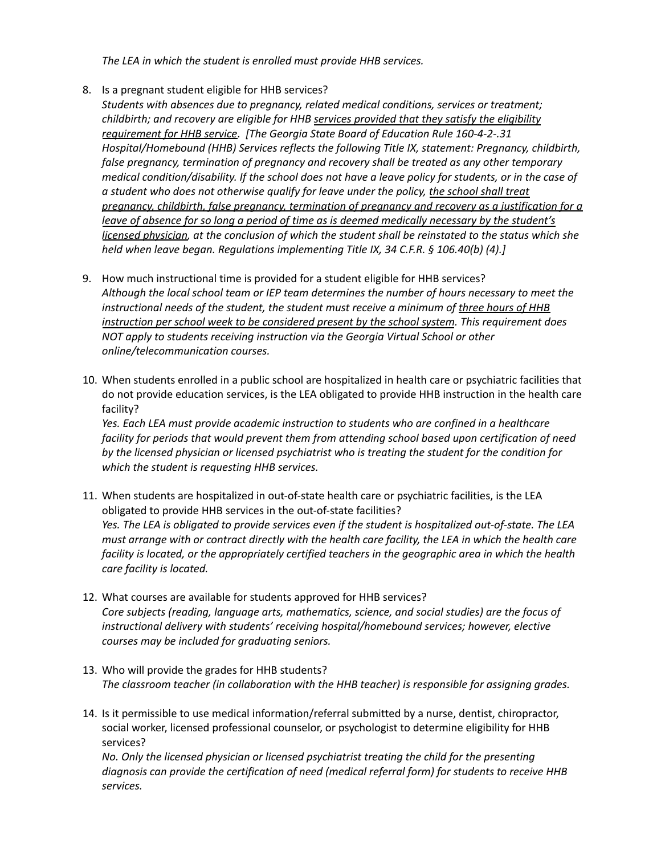*The LEA in which the student is enrolled must provide HHB services.*

- 8. Is a pregnant student eligible for HHB services?
- *Students with absences due to pregnancy, related medical conditions, services or treatment; childbirth; and recovery are eligible for HHB services provided that they satisfy the eligibility requirement for HHB service*. *[The Georgia State Board of Education Rule 160-4-2-.31 Hospital/Homebound (HHB) Services reflects the following Title IX, statement: Pregnancy, childbirth, false pregnancy, termination of pregnancy and recovery shall be treated as any other temporary* medical condition/disability. If the school does not have a leave policy for students, or in the case of *a student who does not otherwise qualify for leave under the policy, the school shall treat pregnancy, childbirth, false pregnancy, termination of pregnancy and recovery as a justification for a leave of absence for so long a period of time as is deemed medically necessary by the student's licensed physician, at the conclusion of which the student shall be reinstated to the status which she held when leave began. Regulations implementing Title IX, 34 C.F.R. § 106.40(b) (4).]*
- 9. How much instructional time is provided for a student eligible for HHB services? *Although the local school team or IEP team determines the number of hours necessary to meet the instructional needs of the student, the student must receive a minimum of three hours of HHB instruction per school week to be considered present by the school system. This requirement does NOT apply to students receiving instruction via the Georgia Virtual School or other online/telecommunication courses.*
- 10. When students enrolled in a public school are hospitalized in health care or psychiatric facilities that do not provide education services, is the LEA obligated to provide HHB instruction in the health care facility?

*Yes. Each LEA must provide academic instruction to students who are confined in a healthcare facility for periods that would prevent them from attending school based upon certification of need by the licensed physician or licensed psychiatrist who is treating the student for the condition for which the student is requesting HHB services.*

- 11. When students are hospitalized in out-of-state health care or psychiatric facilities, is the LEA obligated to provide HHB services in the out-of-state facilities? *Yes. The LEA is obligated to provide services even if the student is hospitalized out-of-state. The LEA* must arrange with or contract directly with the health care facility, the LEA in which the health care *facility is located, or the appropriately certified teachers in the geographic area in which the health care facility is located.*
- 12. What courses are available for students approved for HHB services? *Core subjects (reading, language arts, mathematics, science, and social studies) are the focus of instructional delivery with students' receiving hospital/homebound services; however, elective courses may be included for graduating seniors.*
- 13. Who will provide the grades for HHB students? *The classroom teacher (in collaboration with the HHB teacher) is responsible for assigning grades.*
- 14. Is it permissible to use medical information/referral submitted by a nurse, dentist, chiropractor, social worker, licensed professional counselor, or psychologist to determine eligibility for HHB services?

*No. Only the licensed physician or licensed psychiatrist treating the child for the presenting diagnosis can provide the certification of need (medical referral form) for students to receive HHB services.*